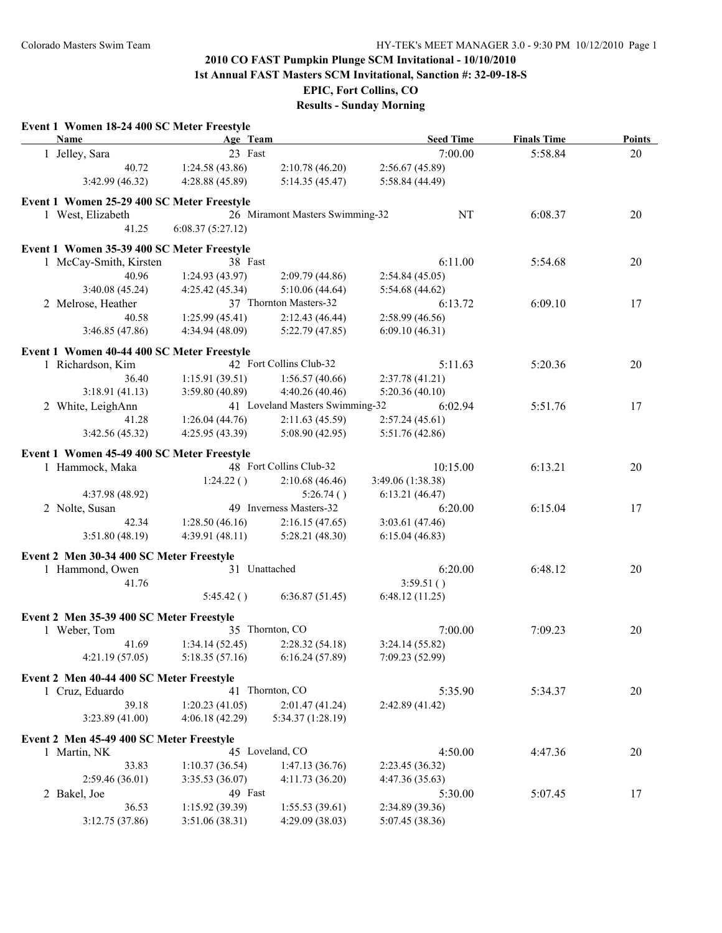**1st Annual FAST Masters SCM Invitational, Sanction #: 32-09-18-S**

**EPIC, Fort Collins, CO**

| Name                                       | Age Team         |                                 | <b>Seed Time</b>  | <b>Finals Time</b> | Points |
|--------------------------------------------|------------------|---------------------------------|-------------------|--------------------|--------|
| 1 Jelley, Sara                             | 23 Fast          |                                 | 7:00.00           | 5:58.84            | 20     |
| 40.72                                      | 1:24.58(43.86)   | 2:10.78(46.20)                  | 2:56.67(45.89)    |                    |        |
| 3:42.99(46.32)                             | 4:28.88(45.89)   | 5:14.35(45.47)                  | 5:58.84 (44.49)   |                    |        |
| Event 1 Women 25-29 400 SC Meter Freestyle |                  |                                 |                   |                    |        |
| 1 West, Elizabeth                          |                  | 26 Miramont Masters Swimming-32 | NT                | 6:08.37            | 20     |
| 41.25                                      | 6:08.37(5:27.12) |                                 |                   |                    |        |
|                                            |                  |                                 |                   |                    |        |
| Event 1 Women 35-39 400 SC Meter Freestyle | 38 Fast          |                                 |                   |                    |        |
| 1 McCay-Smith, Kirsten                     |                  |                                 | 6:11.00           | 5:54.68            | 20     |
| 40.96                                      | 1:24.93 (43.97)  | 2:09.79(44.86)                  | 2:54.84(45.05)    |                    |        |
| 3:40.08 (45.24)                            | 4:25.42 (45.34)  | 5:10.06(44.64)                  | 5:54.68 (44.62)   |                    |        |
| 2 Melrose, Heather                         |                  | 37 Thornton Masters-32          | 6:13.72           | 6:09.10            | 17     |
| 40.58                                      | 1:25.99(45.41)   | 2:12.43(46.44)                  | 2:58.99 (46.56)   |                    |        |
| 3:46.85 (47.86)                            | 4:34.94 (48.09)  | 5:22.79(47.85)                  | 6:09.10(46.31)    |                    |        |
| Event 1 Women 40-44 400 SC Meter Freestyle |                  |                                 |                   |                    |        |
| 1 Richardson, Kim                          |                  | 42 Fort Collins Club-32         | 5:11.63           | 5:20.36            | 20     |
| 36.40                                      | 1:15.91(39.51)   | 1:56.57(40.66)                  | 2:37.78(41.21)    |                    |        |
| 3:18.91(41.13)                             | 3:59.80 (40.89)  | 4:40.26 (40.46)                 | 5:20.36(40.10)    |                    |        |
| 2 White, LeighAnn                          |                  | 41 Loveland Masters Swimming-32 | 6:02.94           | 5:51.76            | 17     |
| 41.28                                      | 1:26.04(44.76)   | 2:11.63(45.59)                  | 2:57.24(45.61)    |                    |        |
| 3:42.56 (45.32)                            | 4:25.95(43.39)   | 5:08.90(42.95)                  | 5:51.76 (42.86)   |                    |        |
| Event 1 Women 45-49 400 SC Meter Freestyle |                  |                                 |                   |                    |        |
| 1 Hammock, Maka                            |                  | 48 Fort Collins Club-32         | 10:15.00          | 6:13.21            | 20     |
|                                            | 1:24.22()        | 2:10.68(46.46)                  | 3:49.06 (1:38.38) |                    |        |
| 4:37.98 (48.92)                            |                  | 5:26.74()                       | 6:13.21(46.47)    |                    |        |
| 2 Nolte, Susan                             |                  | 49 Inverness Masters-32         | 6:20.00           | 6:15.04            | 17     |
| 42.34                                      | 1:28.50(46.16)   | 2:16.15(47.65)                  | 3:03.61 (47.46)   |                    |        |
| 3:51.80(48.19)                             | 4:39.91 (48.11)  | 5:28.21(48.30)                  | 6:15.04(46.83)    |                    |        |
|                                            |                  |                                 |                   |                    |        |
| Event 2 Men 30-34 400 SC Meter Freestyle   |                  |                                 |                   |                    |        |
| 1 Hammond, Owen                            |                  | 31 Unattached                   | 6:20.00           | 6:48.12            | 20     |
| 41.76                                      |                  |                                 | 3:59.51()         |                    |        |
|                                            | 5:45.42()        | 6:36.87(51.45)                  | 6:48.12(11.25)    |                    |        |
| Event 2 Men 35-39 400 SC Meter Freestyle   |                  |                                 |                   |                    |        |
| 1 Weber, Tom                               |                  | 35 Thornton, CO                 | 7:00.00           | 7:09.23            | 20     |
| 41.69                                      | 1:34.14(52.45)   | 2:28.32(54.18)                  | 3:24.14(55.82)    |                    |        |
| 4:21.19(57.05)                             | 5:18.35(57.16)   | 6:16.24(57.89)                  | 7:09.23 (52.99)   |                    |        |
|                                            |                  |                                 |                   |                    |        |
| Event 2 Men 40-44 400 SC Meter Freestyle   |                  | 41 Thornton, CO                 |                   |                    |        |
| 1 Cruz, Eduardo                            |                  |                                 | 5:35.90           | 5:34.37            | 20     |
| 39.18                                      | 1:20.23(41.05)   | 2:01.47 (41.24)                 | 2:42.89 (41.42)   |                    |        |
| 3:23.89 (41.00)                            | 4:06.18 (42.29)  | 5:34.37 (1:28.19)               |                   |                    |        |
| Event 2 Men 45-49 400 SC Meter Freestyle   |                  |                                 |                   |                    |        |
| 1 Martin, NK                               |                  | 45 Loveland, CO                 | 4:50.00           | 4:47.36            | 20     |
| 33.83                                      | 1:10.37(36.54)   | 1:47.13(36.76)                  | 2:23.45 (36.32)   |                    |        |
| 2:59.46(36.01)                             | 3:35.53 (36.07)  | 4:11.73(36.20)                  | 4:47.36 (35.63)   |                    |        |
| 2 Bakel, Joe                               | 49 Fast          |                                 | 5:30.00           | 5:07.45            | 17     |
| 36.53                                      | 1:15.92(39.39)   | 1:55.53(39.61)                  | 2:34.89 (39.36)   |                    |        |
| 3:12.75(37.86)                             | 3:51.06(38.31)   | 4:29.09(38.03)                  | 5:07.45 (38.36)   |                    |        |
|                                            |                  |                                 |                   |                    |        |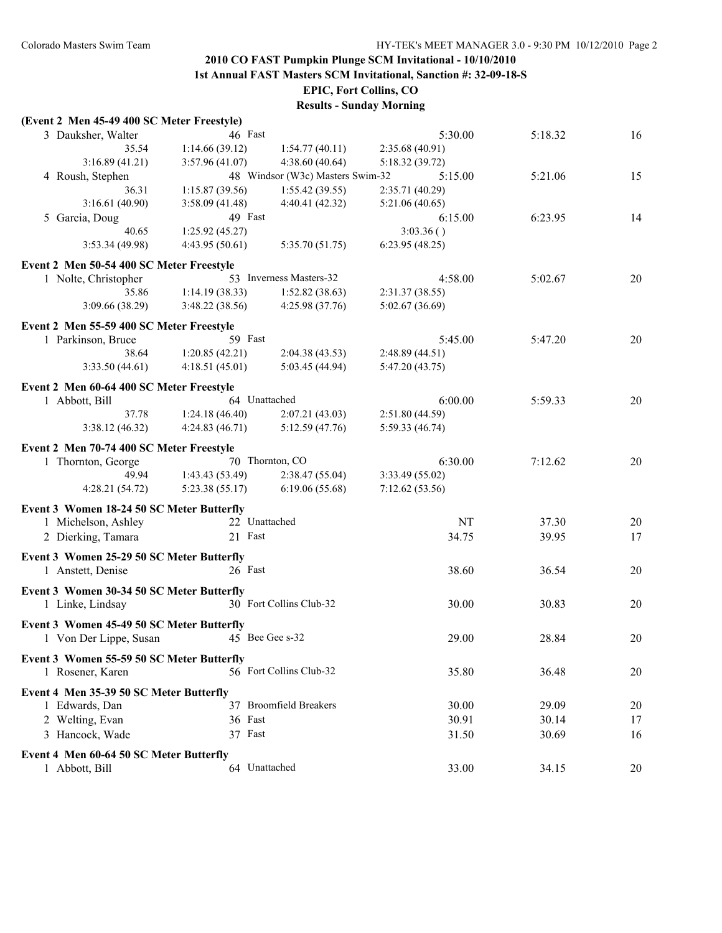**1st Annual FAST Masters SCM Invitational, Sanction #: 32-09-18-S**

**EPIC, Fort Collins, CO**

| (Event 2 Men 45-49 400 SC Meter Freestyle) |                |                                  |                 |         |    |
|--------------------------------------------|----------------|----------------------------------|-----------------|---------|----|
| 3 Dauksher, Walter                         | 46 Fast        |                                  | 5:30.00         | 5:18.32 | 16 |
| 35.54                                      | 1:14.66(39.12) | 1:54.77(40.11)                   | 2:35.68 (40.91) |         |    |
| 3:16.89(41.21)                             | 3:57.96(41.07) | 4:38.60(40.64)                   | 5:18.32(39.72)  |         |    |
| 4 Roush, Stephen                           |                | 48 Windsor (W3c) Masters Swim-32 | 5:15.00         | 5:21.06 | 15 |
| 36.31                                      | 1:15.87(39.56) | 1:55.42(39.55)                   | 2:35.71 (40.29) |         |    |
| 3:16.61(40.90)                             | 3:58.09(41.48) | 4:40.41 (42.32)                  | 5:21.06(40.65)  |         |    |
| 5 Garcia, Doug                             | 49 Fast        |                                  | 6:15.00         | 6:23.95 | 14 |
| 40.65                                      | 1:25.92(45.27) |                                  | 3:03.36()       |         |    |
| 3:53.34 (49.98)                            | 4:43.95(50.61) | 5:35.70(51.75)                   | 6:23.95(48.25)  |         |    |
| Event 2 Men 50-54 400 SC Meter Freestyle   |                |                                  |                 |         |    |
| 1 Nolte, Christopher                       |                | 53 Inverness Masters-32          | 4:58.00         | 5:02.67 | 20 |
| 35.86                                      | 1:14.19(38.33) | 1:52.82(38.63)                   | 2:31.37(38.55)  |         |    |
| 3:09.66 (38.29)                            | 3:48.22(38.56) | 4:25.98(37.76)                   | 5:02.67 (36.69) |         |    |
|                                            |                |                                  |                 |         |    |
| Event 2 Men 55-59 400 SC Meter Freestyle   |                |                                  |                 |         |    |
| 1 Parkinson, Bruce                         | 59 Fast        |                                  | 5:45.00         | 5:47.20 | 20 |
| 38.64                                      | 1:20.85(42.21) | 2:04.38(43.53)                   | 2:48.89 (44.51) |         |    |
| 3:33.50(44.61)                             | 4:18.51(45.01) | 5:03.45(44.94)                   | 5:47.20 (43.75) |         |    |
| Event 2 Men 60-64 400 SC Meter Freestyle   |                |                                  |                 |         |    |
| 1 Abbott, Bill                             | 64 Unattached  |                                  | 6:00.00         | 5:59.33 | 20 |
| 37.78                                      | 1:24.18(46.40) | 2:07.21(43.03)                   | 2:51.80(44.59)  |         |    |
| 3:38.12(46.32)                             | 4:24.83(46.71) | 5:12.59(47.76)                   | 5:59.33 (46.74) |         |    |
| Event 2 Men 70-74 400 SC Meter Freestyle   |                |                                  |                 |         |    |
| 1 Thornton, George                         |                | 70 Thornton, CO                  | 6:30.00         | 7:12.62 | 20 |
| 49.94                                      | 1:43.43(53.49) | 2:38.47(55.04)                   | 3:33.49 (55.02) |         |    |
| 4:28.21 (54.72)                            | 5:23.38(55.17) | 6:19.06(55.68)                   | 7:12.62(53.56)  |         |    |
| Event 3 Women 18-24 50 SC Meter Butterfly  |                |                                  |                 |         |    |
| 1 Michelson, Ashley                        | 22 Unattached  |                                  | NT              | 37.30   | 20 |
| 2 Dierking, Tamara                         | 21 Fast        |                                  | 34.75           | 39.95   | 17 |
|                                            |                |                                  |                 |         |    |
| Event 3 Women 25-29 50 SC Meter Butterfly  |                |                                  |                 |         |    |
| 1 Anstett, Denise                          | 26 Fast        |                                  | 38.60           | 36.54   | 20 |
| Event 3 Women 30-34 50 SC Meter Butterfly  |                |                                  |                 |         |    |
| 1 Linke, Lindsay                           |                | 30 Fort Collins Club-32          | 30.00           | 30.83   | 20 |
|                                            |                |                                  |                 |         |    |
| Event 3 Women 45-49 50 SC Meter Butterfly  |                | 45 Bee Gee s-32                  |                 |         |    |
| 1 Von Der Lippe, Susan                     |                |                                  | 29.00           | 28.84   | 20 |
| Event 3 Women 55-59 50 SC Meter Butterfly  |                |                                  |                 |         |    |
| 1 Rosener, Karen                           |                | 56 Fort Collins Club-32          | 35.80           | 36.48   | 20 |
| Event 4 Men 35-39 50 SC Meter Butterfly    |                |                                  |                 |         |    |
| 1 Edwards, Dan                             |                | 37 Broomfield Breakers           | 30.00           | 29.09   | 20 |
| 2 Welting, Evan                            | 36 Fast        |                                  | 30.91           | 30.14   | 17 |
| 3 Hancock, Wade                            | 37 Fast        |                                  | 31.50           | 30.69   | 16 |
|                                            |                |                                  |                 |         |    |
| Event 4 Men 60-64 50 SC Meter Butterfly    |                |                                  |                 |         |    |
| 1 Abbott, Bill                             | 64 Unattached  |                                  | 33.00           | 34.15   | 20 |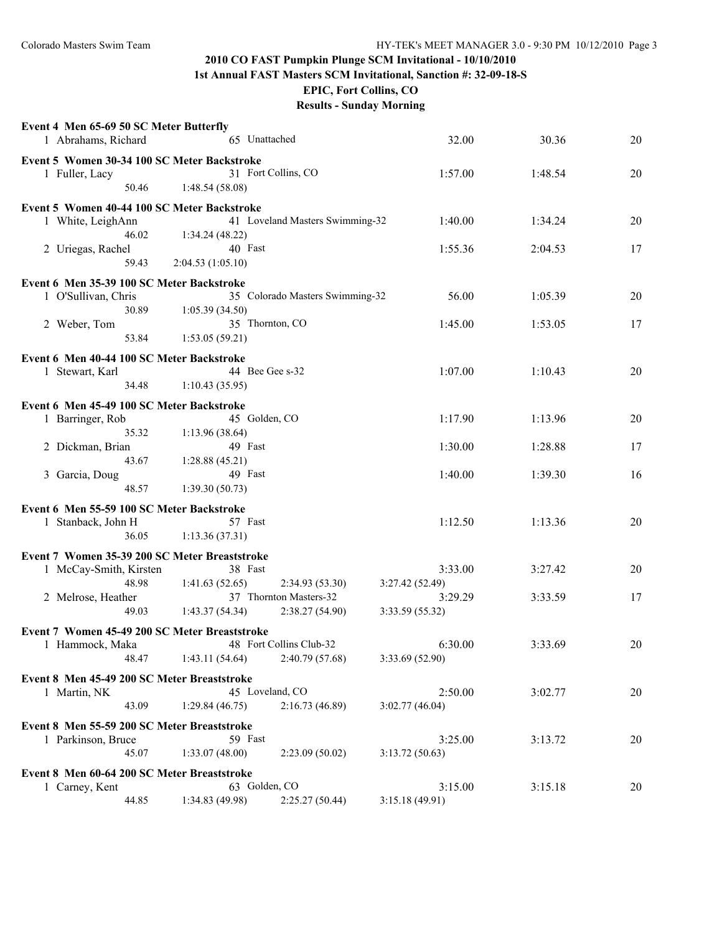**1st Annual FAST Masters SCM Invitational, Sanction #: 32-09-18-S**

**EPIC, Fort Collins, CO**

| Event 4 Men 65-69 50 SC Meter Butterfly       |                  |                                 |                 |         |    |
|-----------------------------------------------|------------------|---------------------------------|-----------------|---------|----|
| 1 Abrahams, Richard                           |                  | 65 Unattached                   | 32.00           | 30.36   | 20 |
|                                               |                  |                                 |                 |         |    |
| Event 5 Women 30-34 100 SC Meter Backstroke   |                  |                                 |                 |         |    |
| 1 Fuller, Lacy                                |                  | 31 Fort Collins, CO             | 1:57.00         | 1:48.54 | 20 |
| 50.46                                         | 1:48.54(58.08)   |                                 |                 |         |    |
| Event 5 Women 40-44 100 SC Meter Backstroke   |                  |                                 |                 |         |    |
| 1 White, LeighAnn                             |                  | 41 Loveland Masters Swimming-32 | 1:40.00         | 1:34.24 | 20 |
| 46.02                                         | 1:34.24(48.22)   |                                 |                 |         |    |
| 2 Uriegas, Rachel                             |                  | 40 Fast                         | 1:55.36         | 2:04.53 | 17 |
| 59.43                                         |                  |                                 |                 |         |    |
|                                               | 2:04.53(1:05.10) |                                 |                 |         |    |
| Event 6 Men 35-39 100 SC Meter Backstroke     |                  |                                 |                 |         |    |
| 1 O'Sullivan, Chris                           |                  | 35 Colorado Masters Swimming-32 | 56.00           | 1:05.39 | 20 |
| 30.89                                         | 1:05.39(34.50)   |                                 |                 |         |    |
| 2 Weber, Tom                                  |                  | 35 Thornton, CO                 | 1:45.00         | 1:53.05 | 17 |
| 53.84                                         | 1:53.05(59.21)   |                                 |                 |         |    |
|                                               |                  |                                 |                 |         |    |
| Event 6 Men 40-44 100 SC Meter Backstroke     |                  |                                 |                 |         |    |
| 1 Stewart, Karl                               |                  | 44 Bee Gee s-32                 | 1:07.00         | 1:10.43 | 20 |
| 34.48                                         | 1:10.43(35.95)   |                                 |                 |         |    |
| Event 6 Men 45-49 100 SC Meter Backstroke     |                  |                                 |                 |         |    |
| 1 Barringer, Rob                              |                  | 45 Golden, CO                   | 1:17.90         | 1:13.96 | 20 |
| 35.32                                         | 1:13.96 (38.64)  |                                 |                 |         |    |
|                                               |                  | 49 Fast                         |                 |         | 17 |
| 2 Dickman, Brian                              |                  |                                 | 1:30.00         | 1:28.88 |    |
| 43.67                                         | 1:28.88 (45.21)  |                                 |                 |         |    |
| 3 Garcia, Doug                                |                  | 49 Fast                         | 1:40.00         | 1:39.30 | 16 |
| 48.57                                         | 1:39.30(50.73)   |                                 |                 |         |    |
| Event 6 Men 55-59 100 SC Meter Backstroke     |                  |                                 |                 |         |    |
| 1 Stanback, John H                            |                  | 57 Fast                         | 1:12.50         | 1:13.36 | 20 |
| 36.05                                         | 1:13.36(37.31)   |                                 |                 |         |    |
|                                               |                  |                                 |                 |         |    |
| Event 7 Women 35-39 200 SC Meter Breaststroke |                  |                                 |                 |         |    |
| 1 McCay-Smith, Kirsten                        |                  | 38 Fast                         | 3:33.00         | 3:27.42 | 20 |
| 48.98                                         | 1:41.63(52.65)   | 2:34.93(53.30)                  | 3:27.42(52.49)  |         |    |
| 2 Melrose, Heather                            |                  | 37 Thornton Masters-32          | 3:29.29         | 3:33.59 | 17 |
| 49.03                                         | 1:43.37(54.34)   | 2:38.27(54.90)                  | 3:33.59 (55.32) |         |    |
| Event 7 Women 45-49 200 SC Meter Breaststroke |                  |                                 |                 |         |    |
| 1 Hammock, Maka                               |                  | 48 Fort Collins Club-32         | 6:30.00         | 3:33.69 | 20 |
|                                               |                  |                                 |                 |         |    |
| 48.47                                         | 1:43.11(54.64)   | 2:40.79 (57.68)                 | 3:33.69 (52.90) |         |    |
| Event 8 Men 45-49 200 SC Meter Breaststroke   |                  |                                 |                 |         |    |
| 1 Martin, NK                                  |                  | 45 Loveland, CO                 | 2:50.00         | 3:02.77 | 20 |
| 43.09                                         | 1:29.84(46.75)   | 2:16.73(46.89)                  | 3:02.77(46.04)  |         |    |
|                                               |                  |                                 |                 |         |    |
| Event 8 Men 55-59 200 SC Meter Breaststroke   |                  |                                 |                 |         |    |
| 1 Parkinson, Bruce                            |                  | 59 Fast                         | 3:25.00         | 3:13.72 | 20 |
| 45.07                                         | 1:33.07(48.00)   | 2:23.09(50.02)                  | 3:13.72(50.63)  |         |    |
| Event 8 Men 60-64 200 SC Meter Breaststroke   |                  |                                 |                 |         |    |
| 1 Carney, Kent                                |                  | 63 Golden, CO                   | 3:15.00         | 3:15.18 | 20 |
| 44.85                                         | 1:34.83 (49.98)  | 2:25.27(50.44)                  | 3:15.18 (49.91) |         |    |
|                                               |                  |                                 |                 |         |    |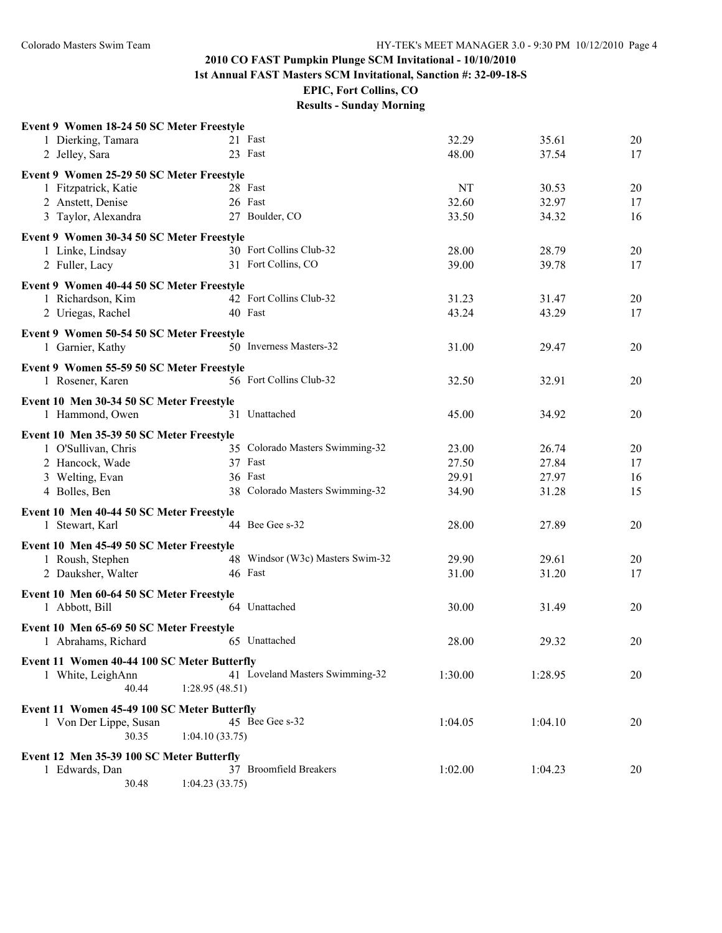**1st Annual FAST Masters SCM Invitational, Sanction #: 32-09-18-S**

**EPIC, Fort Collins, CO**

| Event 9 Women 18-24 50 SC Meter Freestyle   |                                  |         |         |    |
|---------------------------------------------|----------------------------------|---------|---------|----|
| 1 Dierking, Tamara                          | 21 Fast                          | 32.29   | 35.61   | 20 |
| 2 Jelley, Sara                              | 23 Fast                          | 48.00   | 37.54   | 17 |
| Event 9 Women 25-29 50 SC Meter Freestyle   |                                  |         |         |    |
| 1 Fitzpatrick, Katie                        | 28 Fast                          | NT      | 30.53   | 20 |
| 2 Anstett, Denise                           | 26 Fast                          | 32.60   | 32.97   | 17 |
| 3 Taylor, Alexandra                         | 27 Boulder, CO                   | 33.50   | 34.32   | 16 |
|                                             |                                  |         |         |    |
| Event 9 Women 30-34 50 SC Meter Freestyle   | 30 Fort Collins Club-32          |         |         |    |
| 1 Linke, Lindsay                            |                                  | 28.00   | 28.79   | 20 |
| 2 Fuller, Lacy                              | 31 Fort Collins, CO              | 39.00   | 39.78   | 17 |
| Event 9 Women 40-44 50 SC Meter Freestyle   |                                  |         |         |    |
| 1 Richardson, Kim                           | 42 Fort Collins Club-32          | 31.23   | 31.47   | 20 |
| 2 Uriegas, Rachel                           | 40 Fast                          | 43.24   | 43.29   | 17 |
| Event 9 Women 50-54 50 SC Meter Freestyle   |                                  |         |         |    |
| 1 Garnier, Kathy                            | 50 Inverness Masters-32          | 31.00   | 29.47   | 20 |
|                                             |                                  |         |         |    |
| Event 9 Women 55-59 50 SC Meter Freestyle   | 56 Fort Collins Club-32          |         | 32.91   | 20 |
| 1 Rosener, Karen                            |                                  | 32.50   |         |    |
| Event 10 Men 30-34 50 SC Meter Freestyle    |                                  |         |         |    |
| 1 Hammond, Owen                             | 31 Unattached                    | 45.00   | 34.92   | 20 |
| Event 10 Men 35-39 50 SC Meter Freestyle    |                                  |         |         |    |
| 1 O'Sullivan, Chris                         | 35 Colorado Masters Swimming-32  | 23.00   | 26.74   | 20 |
| 2 Hancock, Wade                             | 37 Fast                          | 27.50   | 27.84   | 17 |
| 3 Welting, Evan                             | 36 Fast                          | 29.91   | 27.97   | 16 |
| 4 Bolles, Ben                               | 38 Colorado Masters Swimming-32  | 34.90   | 31.28   | 15 |
|                                             |                                  |         |         |    |
| Event 10 Men 40-44 50 SC Meter Freestyle    | 44 Bee Gee s-32                  |         |         |    |
| 1 Stewart, Karl                             |                                  | 28.00   | 27.89   | 20 |
| Event 10 Men 45-49 50 SC Meter Freestyle    |                                  |         |         |    |
| 1 Roush, Stephen                            | 48 Windsor (W3c) Masters Swim-32 | 29.90   | 29.61   | 20 |
| 2 Dauksher, Walter                          | 46 Fast                          | 31.00   | 31.20   | 17 |
| Event 10 Men 60-64 50 SC Meter Freestyle    |                                  |         |         |    |
| 1 Abbott, Bill                              | 64 Unattached                    | 30.00   | 31.49   | 20 |
|                                             |                                  |         |         |    |
| Event 10 Men 65-69 50 SC Meter Freestyle    |                                  | 28.00   | 29.32   | 20 |
| 1 Abrahams, Richard                         | 65 Unattached                    |         |         |    |
| Event 11 Women 40-44 100 SC Meter Butterfly |                                  |         |         |    |
| 1 White, LeighAnn                           | 41 Loveland Masters Swimming-32  | 1:30.00 | 1:28.95 | 20 |
| 40.44                                       | 1:28.95(48.51)                   |         |         |    |
| Event 11 Women 45-49 100 SC Meter Butterfly |                                  |         |         |    |
| 1 Von Der Lippe, Susan                      | 45 Bee Gee s-32                  | 1:04.05 | 1:04.10 | 20 |
| 30.35                                       | 1:04.10(33.75)                   |         |         |    |
| Event 12 Men 35-39 100 SC Meter Butterfly   |                                  |         |         |    |
| 1 Edwards, Dan                              | 37 Broomfield Breakers           | 1:02.00 | 1:04.23 | 20 |
| 30.48                                       | 1:04.23(33.75)                   |         |         |    |
|                                             |                                  |         |         |    |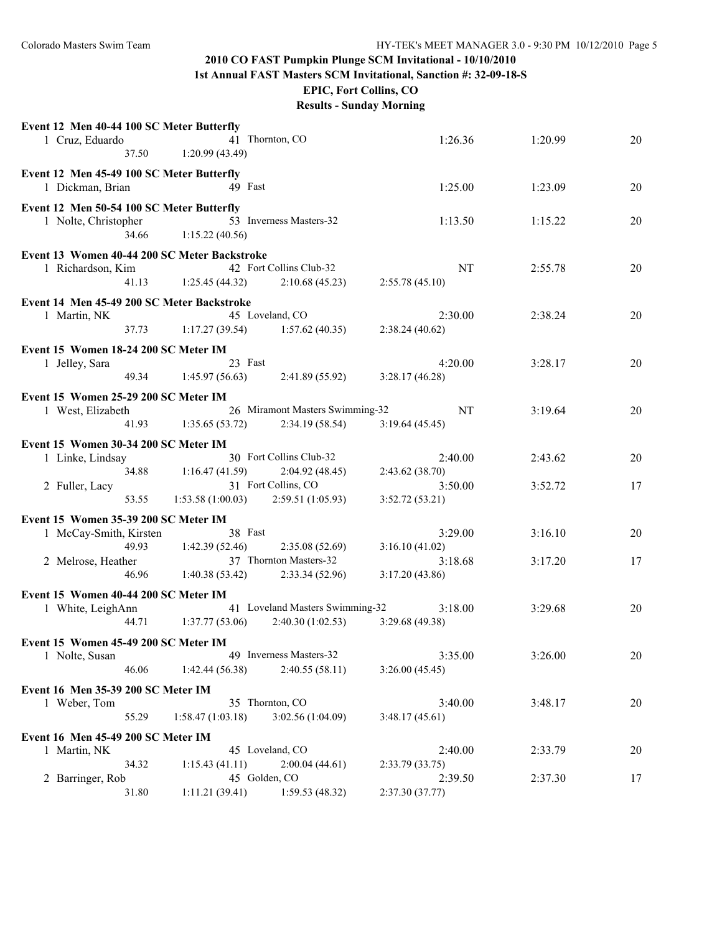**1st Annual FAST Masters SCM Invitational, Sanction #: 32-09-18-S**

**EPIC, Fort Collins, CO**

| Event 12 Men 40-44 100 SC Meter Butterfly    |                         |                                 |                 |         |    |
|----------------------------------------------|-------------------------|---------------------------------|-----------------|---------|----|
| 1 Cruz, Eduardo                              |                         | 41 Thornton, CO                 | 1:26.36         | 1:20.99 | 20 |
|                                              | 1:20.99(43.49)<br>37.50 |                                 |                 |         |    |
| Event 12 Men 45-49 100 SC Meter Butterfly    |                         |                                 |                 |         |    |
| 1 Dickman, Brian                             |                         | 49 Fast                         | 1:25.00         | 1:23.09 | 20 |
| Event 12 Men 50-54 100 SC Meter Butterfly    |                         |                                 |                 |         |    |
| 1 Nolte, Christopher                         |                         | 53 Inverness Masters-32         | 1:13.50         | 1:15.22 | 20 |
| 34.66                                        | 1:15.22(40.56)          |                                 |                 |         |    |
| Event 13 Women 40-44 200 SC Meter Backstroke |                         |                                 |                 |         |    |
| 1 Richardson, Kim                            |                         | 42 Fort Collins Club-32         | <b>NT</b>       | 2:55.78 | 20 |
| 41.13                                        | 1:25.45(44.32)          | 2:10.68(45.23)                  | 2:55.78(45.10)  |         |    |
|                                              |                         |                                 |                 |         |    |
| Event 14 Men 45-49 200 SC Meter Backstroke   |                         |                                 |                 |         |    |
| 1 Martin, NK<br>37.73                        | 1:17.27(39.54)          | 45 Loveland, CO                 | 2:30.00         | 2:38.24 | 20 |
|                                              |                         | 1:57.62(40.35)                  | 2:38.24(40.62)  |         |    |
| Event 15 Women 18-24 200 SC Meter IM         |                         |                                 |                 |         |    |
| 1 Jelley, Sara                               |                         | 23 Fast                         | 4:20.00         | 3:28.17 | 20 |
|                                              | 49.34<br>1:45.97(56.63) | 2:41.89(55.92)                  | 3:28.17(46.28)  |         |    |
| Event 15 Women 25-29 200 SC Meter IM         |                         |                                 |                 |         |    |
| 1 West, Elizabeth                            |                         | 26 Miramont Masters Swimming-32 | NT              | 3:19.64 | 20 |
| 41.93                                        | 1:35.65(53.72)          | 2:34.19(58.54)                  | 3:19.64(45.45)  |         |    |
| Event 15 Women 30-34 200 SC Meter IM         |                         |                                 |                 |         |    |
| 1 Linke, Lindsay                             |                         | 30 Fort Collins Club-32         | 2:40.00         | 2:43.62 | 20 |
| 34.88                                        | 1:16.47(41.59)          | 2:04.92(48.45)                  | 2:43.62(38.70)  |         |    |
| 2 Fuller, Lacy                               |                         | 31 Fort Collins, CO             | 3:50.00         | 3:52.72 | 17 |
| 53.55                                        | 1:53.58(1:00.03)        | 2:59.51(1:05.93)                | 3:52.72(53.21)  |         |    |
| Event 15 Women 35-39 200 SC Meter IM         |                         |                                 |                 |         |    |
| 1 McCay-Smith, Kirsten                       |                         | 38 Fast                         | 3:29.00         | 3:16.10 | 20 |
| 49.93                                        | 1:42.39(52.46)          | 2:35.08(52.69)                  | 3:16.10(41.02)  |         |    |
| 2 Melrose, Heather                           |                         | 37 Thornton Masters-32          | 3:18.68         | 3:17.20 | 17 |
|                                              | 46.96<br>1:40.38(53.42) | 2:33.34(52.96)                  | 3:17.20(43.86)  |         |    |
| Event 15 Women 40-44 200 SC Meter IM         |                         |                                 |                 |         |    |
| 1 White, LeighAnn                            |                         | 41 Loveland Masters Swimming-32 | 3:18.00         | 3:29.68 | 20 |
| 44.71                                        | 1:37.77(53.06)          | 2:40.30(1:02.53)                | 3:29.68 (49.38) |         |    |
| Event 15 Women 45-49 200 SC Meter IM         |                         |                                 |                 |         |    |
| 1 Nolte, Susan                               |                         | 49 Inverness Masters-32         | 3:35.00         | 3:26.00 | 20 |
| 46.06                                        | 1:42.44(56.38)          | 2:40.55(58.11)                  | 3:26.00(45.45)  |         |    |
|                                              |                         |                                 |                 |         |    |
| Event 16 Men 35-39 200 SC Meter IM           |                         | 35 Thornton, CO                 |                 |         |    |
| 1 Weber, Tom                                 |                         |                                 | 3:40.00         | 3:48.17 | 20 |
| 55.29                                        | 1:58.47(1:03.18)        | 3:02.56 (1:04.09)               | 3:48.17(45.61)  |         |    |
| Event 16 Men 45-49 200 SC Meter IM           |                         |                                 |                 |         |    |
| 1 Martin, NK                                 |                         | 45 Loveland, CO                 | 2:40.00         | 2:33.79 | 20 |
| 34.32                                        | 1:15.43(41.11)          | 2:00.04(44.61)                  | 2:33.79 (33.75) |         |    |
| 2 Barringer, Rob                             |                         | 45 Golden, CO                   | 2:39.50         | 2:37.30 | 17 |
| 31.80                                        | 1:11.21(39.41)          | 1:59.53(48.32)                  | 2:37.30 (37.77) |         |    |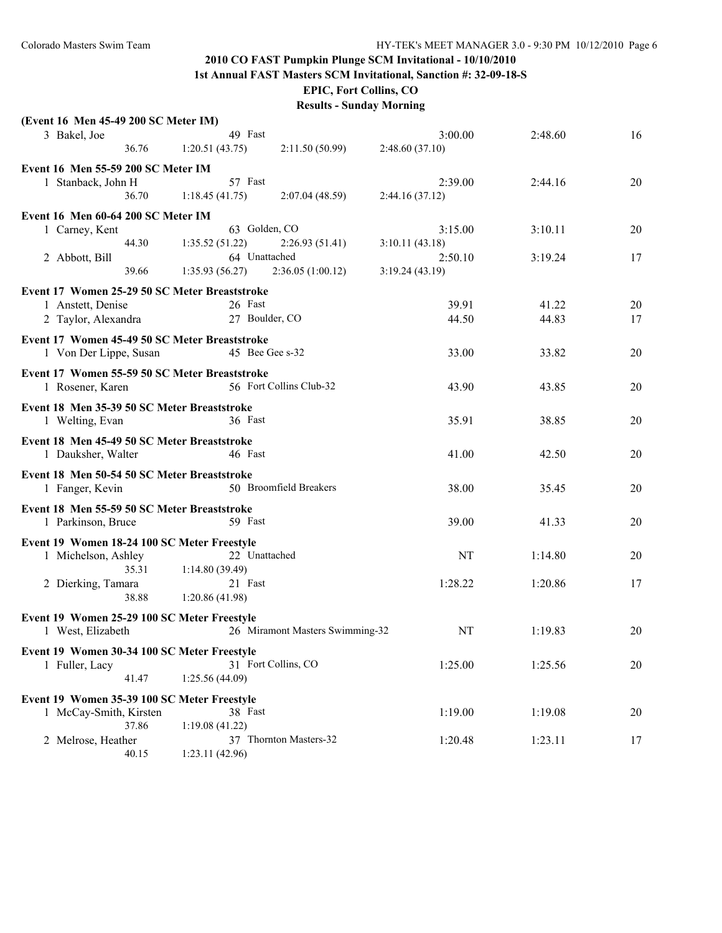**1st Annual FAST Masters SCM Invitational, Sanction #: 32-09-18-S**

**EPIC, Fort Collins, CO**

| (Event 16 Men 45-49 200 SC Meter IM)                 |                 |                                 |                |         |    |
|------------------------------------------------------|-----------------|---------------------------------|----------------|---------|----|
| 3 Bakel, Joe                                         | 49 Fast         |                                 | 3:00.00        | 2:48.60 | 16 |
| 36.76                                                | 1:20.51(43.75)  | 2:11.50(50.99)                  | 2:48.60(37.10) |         |    |
| Event 16 Men 55-59 200 SC Meter IM                   |                 |                                 |                |         |    |
| 1 Stanback, John H                                   | 57 Fast         |                                 | 2:39.00        | 2:44.16 | 20 |
| 36.70                                                | 1:18.45(41.75)  | 2:07.04(48.59)                  | 2:44.16(37.12) |         |    |
|                                                      |                 |                                 |                |         |    |
| Event 16 Men 60-64 200 SC Meter IM<br>1 Carney, Kent | 63 Golden, CO   |                                 | 3:15.00        | 3:10.11 | 20 |
| 44.30                                                | 1:35.52(51.22)  | 2:26.93(51.41)                  | 3:10.11(43.18) |         |    |
| 2 Abbott, Bill                                       | 64 Unattached   |                                 | 2:50.10        | 3:19.24 | 17 |
| 39.66                                                | 1:35.93(56.27)  | 2:36.05(1:00.12)                | 3:19.24(43.19) |         |    |
|                                                      |                 |                                 |                |         |    |
| Event 17 Women 25-29 50 SC Meter Breaststroke        |                 |                                 |                |         |    |
| 1 Anstett, Denise                                    | 26 Fast         |                                 | 39.91          | 41.22   | 20 |
| 2 Taylor, Alexandra                                  | 27 Boulder, CO  |                                 | 44.50          | 44.83   | 17 |
| Event 17 Women 45-49 50 SC Meter Breaststroke        |                 |                                 |                |         |    |
| 1 Von Der Lippe, Susan                               | 45 Bee Gee s-32 |                                 | 33.00          | 33.82   | 20 |
| Event 17 Women 55-59 50 SC Meter Breaststroke        |                 |                                 |                |         |    |
| 1 Rosener, Karen                                     |                 | 56 Fort Collins Club-32         | 43.90          | 43.85   | 20 |
|                                                      |                 |                                 |                |         |    |
| Event 18 Men 35-39 50 SC Meter Breaststroke          |                 |                                 |                |         |    |
| 1 Welting, Evan                                      | 36 Fast         |                                 | 35.91          | 38.85   | 20 |
| Event 18 Men 45-49 50 SC Meter Breaststroke          |                 |                                 |                |         |    |
| 1 Dauksher, Walter                                   | 46 Fast         |                                 | 41.00          | 42.50   | 20 |
| Event 18 Men 50-54 50 SC Meter Breaststroke          |                 |                                 |                |         |    |
| 1 Fanger, Kevin                                      |                 | 50 Broomfield Breakers          | 38.00          | 35.45   | 20 |
|                                                      |                 |                                 |                |         |    |
| Event 18 Men 55-59 50 SC Meter Breaststroke          |                 |                                 |                |         |    |
| 1 Parkinson, Bruce                                   | 59 Fast         |                                 | 39.00          | 41.33   | 20 |
| Event 19 Women 18-24 100 SC Meter Freestyle          |                 |                                 |                |         |    |
| 1 Michelson, Ashley                                  | 22 Unattached   |                                 | NT             | 1:14.80 | 20 |
| 35.31                                                | 1:14.80(39.49)  |                                 |                |         |    |
| 2 Dierking, Tamara                                   | 21 Fast         |                                 | 1:28.22        | 1:20.86 | 17 |
| 38.88                                                | 1:20.86(41.98)  |                                 |                |         |    |
| Event 19 Women 25-29 100 SC Meter Freestyle          |                 |                                 |                |         |    |
| 1 West, Elizabeth                                    |                 | 26 Miramont Masters Swimming-32 | NT             | 1:19.83 | 20 |
|                                                      |                 |                                 |                |         |    |
| Event 19 Women 30-34 100 SC Meter Freestyle          |                 |                                 |                |         |    |
| 1 Fuller, Lacy                                       |                 | 31 Fort Collins, CO             | 1:25.00        | 1:25.56 | 20 |
| 41.47                                                | 1:25.56(44.09)  |                                 |                |         |    |
| Event 19 Women 35-39 100 SC Meter Freestyle          |                 |                                 |                |         |    |
| 1 McCay-Smith, Kirsten                               | 38 Fast         |                                 | 1:19.00        | 1:19.08 | 20 |
| 37.86                                                | 1:19.08(41.22)  |                                 |                |         |    |
| 2 Melrose, Heather                                   |                 | 37 Thornton Masters-32          | 1:20.48        | 1:23.11 | 17 |
| 40.15                                                | 1:23.11 (42.96) |                                 |                |         |    |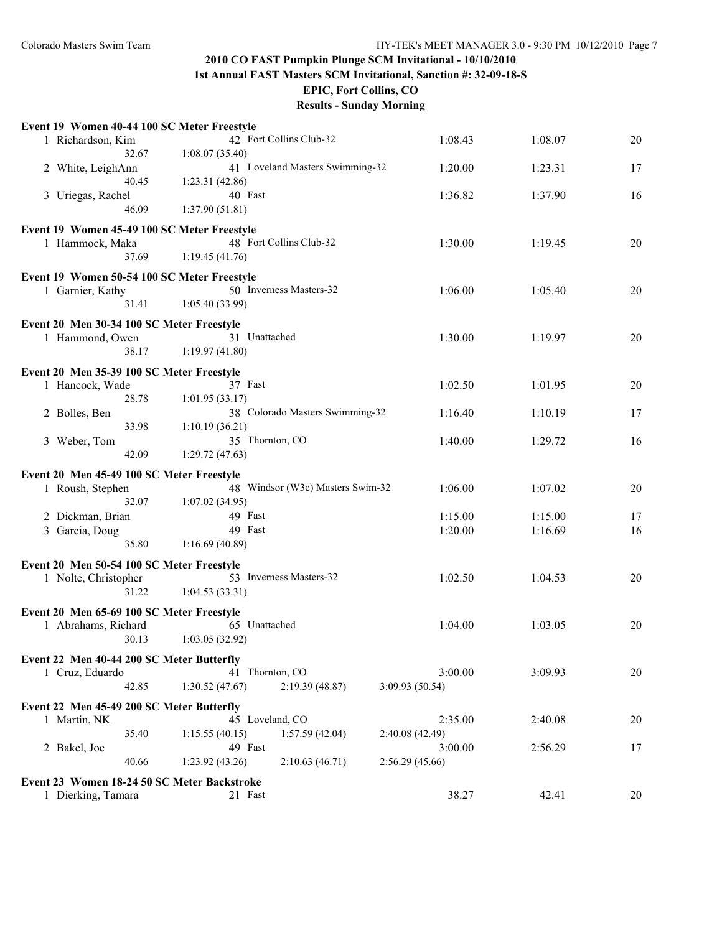**1st Annual FAST Masters SCM Invitational, Sanction #: 32-09-18-S**

**EPIC, Fort Collins, CO**

| Event 19 Women 40-44 100 SC Meter Freestyle |                         |                                  |                 |         |    |
|---------------------------------------------|-------------------------|----------------------------------|-----------------|---------|----|
| 1 Richardson, Kim                           | 42 Fort Collins Club-32 |                                  | 1:08.43         | 1:08.07 | 20 |
| 32.67                                       | 1:08.07(35.40)          |                                  |                 |         |    |
| 2 White, LeighAnn                           |                         | 41 Loveland Masters Swimming-32  | 1:20.00         | 1:23.31 | 17 |
| 40.45                                       | 1:23.31(42.86)          |                                  |                 |         |    |
| 3 Uriegas, Rachel                           | 40 Fast                 |                                  | 1:36.82         | 1:37.90 | 16 |
| 46.09                                       | 1:37.90(51.81)          |                                  |                 |         |    |
|                                             |                         |                                  |                 |         |    |
| Event 19 Women 45-49 100 SC Meter Freestyle |                         |                                  |                 |         |    |
| 1 Hammock, Maka                             | 48 Fort Collins Club-32 |                                  | 1:30.00         | 1:19.45 | 20 |
| 37.69                                       | 1:19.45(41.76)          |                                  |                 |         |    |
|                                             |                         |                                  |                 |         |    |
| Event 19 Women 50-54 100 SC Meter Freestyle | 50 Inverness Masters-32 |                                  | 1:06.00         |         | 20 |
| 1 Garnier, Kathy                            |                         |                                  |                 | 1:05.40 |    |
| 31.41                                       | 1:05.40(33.99)          |                                  |                 |         |    |
| Event 20 Men 30-34 100 SC Meter Freestyle   |                         |                                  |                 |         |    |
| 1 Hammond, Owen                             | 31 Unattached           |                                  | 1:30.00         | 1:19.97 | 20 |
| 38.17                                       | 1:19.97(41.80)          |                                  |                 |         |    |
|                                             |                         |                                  |                 |         |    |
| Event 20 Men 35-39 100 SC Meter Freestyle   |                         |                                  |                 |         |    |
| 1 Hancock, Wade                             | 37 Fast                 |                                  | 1:02.50         | 1:01.95 | 20 |
| 28.78                                       | 1:01.95(33.17)          |                                  |                 |         |    |
| 2 Bolles, Ben                               |                         | 38 Colorado Masters Swimming-32  | 1:16.40         | 1:10.19 | 17 |
| 33.98                                       | 1:10.19(36.21)          |                                  |                 |         |    |
| 3 Weber, Tom                                | 35 Thornton, CO         |                                  | 1:40.00         | 1:29.72 | 16 |
| 42.09                                       | 1:29.72(47.63)          |                                  |                 |         |    |
| Event 20 Men 45-49 100 SC Meter Freestyle   |                         |                                  |                 |         |    |
| 1 Roush, Stephen                            |                         | 48 Windsor (W3c) Masters Swim-32 | 1:06.00         | 1:07.02 | 20 |
| 32.07                                       | 1:07.02(34.95)          |                                  |                 |         |    |
|                                             | 49 Fast                 |                                  | 1:15.00         |         |    |
| 2 Dickman, Brian                            |                         |                                  |                 | 1:15.00 | 17 |
| 3 Garcia, Doug                              | 49 Fast                 |                                  | 1:20.00         | 1:16.69 | 16 |
| 35.80                                       | 1:16.69(40.89)          |                                  |                 |         |    |
| Event 20 Men 50-54 100 SC Meter Freestyle   |                         |                                  |                 |         |    |
| 1 Nolte, Christopher                        | 53 Inverness Masters-32 |                                  | 1:02.50         | 1:04.53 | 20 |
| 31.22                                       | 1:04.53(33.31)          |                                  |                 |         |    |
|                                             |                         |                                  |                 |         |    |
| Event 20 Men 65-69 100 SC Meter Freestyle   |                         |                                  |                 |         |    |
| 1 Abrahams, Richard                         | 65 Unattached           |                                  | 1:04.00         | 1:03.05 | 20 |
| 30.13                                       | 1:03.05(32.92)          |                                  |                 |         |    |
| Event 22 Men 40-44 200 SC Meter Butterfly   |                         |                                  |                 |         |    |
| 1 Cruz, Eduardo                             | 41 Thornton, CO         |                                  | 3:00.00         | 3:09.93 | 20 |
| 42.85                                       | 1:30.52(47.67)          | 2:19.39 (48.87)                  | 3:09.93(50.54)  |         |    |
|                                             |                         |                                  |                 |         |    |
| Event 22 Men 45-49 200 SC Meter Butterfly   |                         |                                  |                 |         |    |
| 1 Martin, NK                                | 45 Loveland, CO         |                                  | 2:35.00         | 2:40.08 | 20 |
| 35.40                                       | 1:15.55(40.15)          | 1:57.59(42.04)                   | 2:40.08 (42.49) |         |    |
| 2 Bakel, Joe                                | 49 Fast                 |                                  | 3:00.00         | 2:56.29 | 17 |
| 40.66                                       | 1:23.92(43.26)          | 2:10.63(46.71)                   | 2:56.29(45.66)  |         |    |
| Event 23 Women 18-24 50 SC Meter Backstroke |                         |                                  |                 |         |    |
| 1 Dierking, Tamara                          | 21 Fast                 |                                  | 38.27           | 42.41   | 20 |
|                                             |                         |                                  |                 |         |    |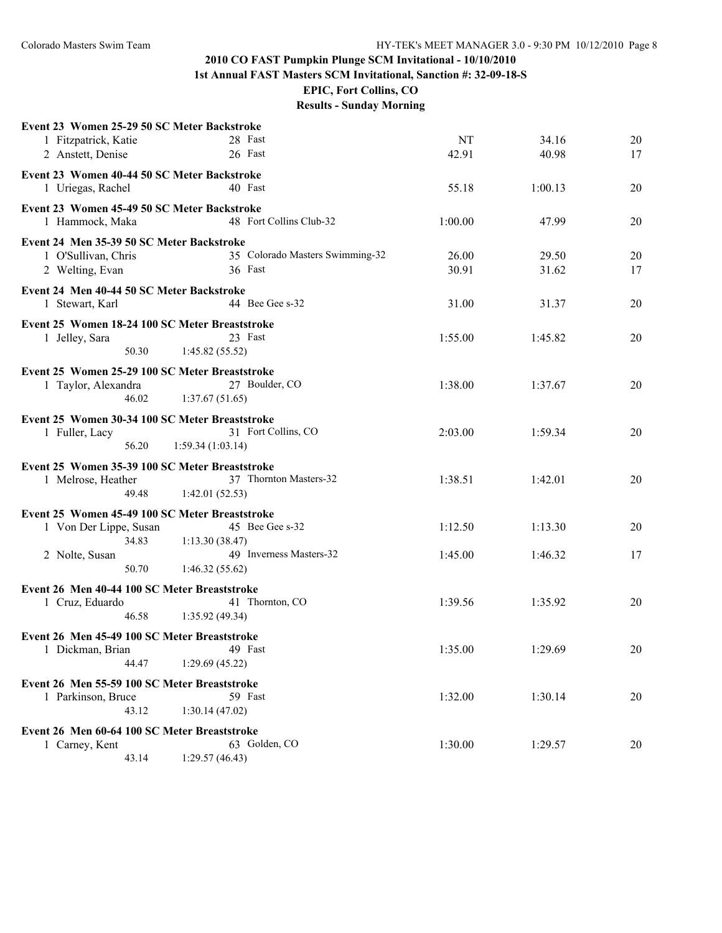**1st Annual FAST Masters SCM Invitational, Sanction #: 32-09-18-S**

**EPIC, Fort Collins, CO**

| Event 23 Women 25-29 50 SC Meter Backstroke    |                                 |         |         |    |
|------------------------------------------------|---------------------------------|---------|---------|----|
| 1 Fitzpatrick, Katie                           | 28 Fast                         | NT      | 34.16   | 20 |
| 2 Anstett, Denise                              | 26 Fast                         | 42.91   | 40.98   | 17 |
| Event 23 Women 40-44 50 SC Meter Backstroke    |                                 |         |         |    |
| 1 Uriegas, Rachel                              | 40 Fast                         | 55.18   | 1:00.13 | 20 |
| Event 23 Women 45-49 50 SC Meter Backstroke    |                                 |         |         |    |
| 1 Hammock, Maka                                | 48 Fort Collins Club-32         | 1:00.00 | 47.99   | 20 |
| Event 24 Men 35-39 50 SC Meter Backstroke      |                                 |         |         |    |
| 1 O'Sullivan, Chris                            | 35 Colorado Masters Swimming-32 | 26.00   | 29.50   | 20 |
| 2 Welting, Evan                                | 36 Fast                         | 30.91   | 31.62   | 17 |
| Event 24 Men 40-44 50 SC Meter Backstroke      |                                 |         |         |    |
| 1 Stewart, Karl                                | 44 Bee Gee s-32                 | 31.00   | 31.37   | 20 |
| Event 25 Women 18-24 100 SC Meter Breaststroke |                                 |         |         |    |
| 1 Jelley, Sara                                 | 23 Fast                         | 1:55.00 | 1:45.82 | 20 |
| 50.30                                          | 1:45.82(55.52)                  |         |         |    |
| Event 25 Women 25-29 100 SC Meter Breaststroke |                                 |         |         |    |
| 1 Taylor, Alexandra                            | 27 Boulder, CO                  | 1:38.00 | 1:37.67 | 20 |
| 46.02                                          | 1:37.67(51.65)                  |         |         |    |
| Event 25 Women 30-34 100 SC Meter Breaststroke |                                 |         |         |    |
| 1 Fuller, Lacy                                 | 31 Fort Collins, CO             | 2:03.00 | 1:59.34 | 20 |
| 56.20                                          | 1:59.34(1:03.14)                |         |         |    |
| Event 25 Women 35-39 100 SC Meter Breaststroke |                                 |         |         |    |
| 1 Melrose, Heather                             | 37 Thornton Masters-32          | 1:38.51 | 1:42.01 | 20 |
| 49.48                                          | 1:42.01(52.53)                  |         |         |    |
| Event 25 Women 45-49 100 SC Meter Breaststroke |                                 |         |         |    |
| 1 Von Der Lippe, Susan                         | 45 Bee Gee s-32                 | 1:12.50 | 1:13.30 | 20 |
| 34.83                                          | 1:13.30(38.47)                  |         |         |    |
| 2 Nolte, Susan                                 | 49 Inverness Masters-32         | 1:45.00 | 1:46.32 | 17 |
| 50.70                                          | 1:46.32(55.62)                  |         |         |    |
| Event 26 Men 40-44 100 SC Meter Breaststroke   |                                 |         |         |    |
| 1 Cruz, Eduardo                                | 41 Thornton, CO                 | 1:39.56 | 1:35.92 | 20 |
| 46.58                                          | 1:35.92(49.34)                  |         |         |    |
| Event 26 Men 45-49 100 SC Meter Breaststroke   |                                 |         |         |    |
| 1 Dickman, Brian 49 Fast                       |                                 | 1:35.00 | 1:29.69 | 20 |
| 44.47                                          | 1:29.69(45.22)                  |         |         |    |
| Event 26 Men 55-59 100 SC Meter Breaststroke   |                                 |         |         |    |
| 1 Parkinson, Bruce                             | 59 Fast                         | 1:32.00 | 1:30.14 | 20 |
| 43.12                                          | 1:30.14(47.02)                  |         |         |    |
| Event 26 Men 60-64 100 SC Meter Breaststroke   |                                 |         |         |    |
| 1 Carney, Kent                                 | 63 Golden, CO                   | 1:30.00 | 1:29.57 | 20 |
| 43.14                                          | 1:29.57(46.43)                  |         |         |    |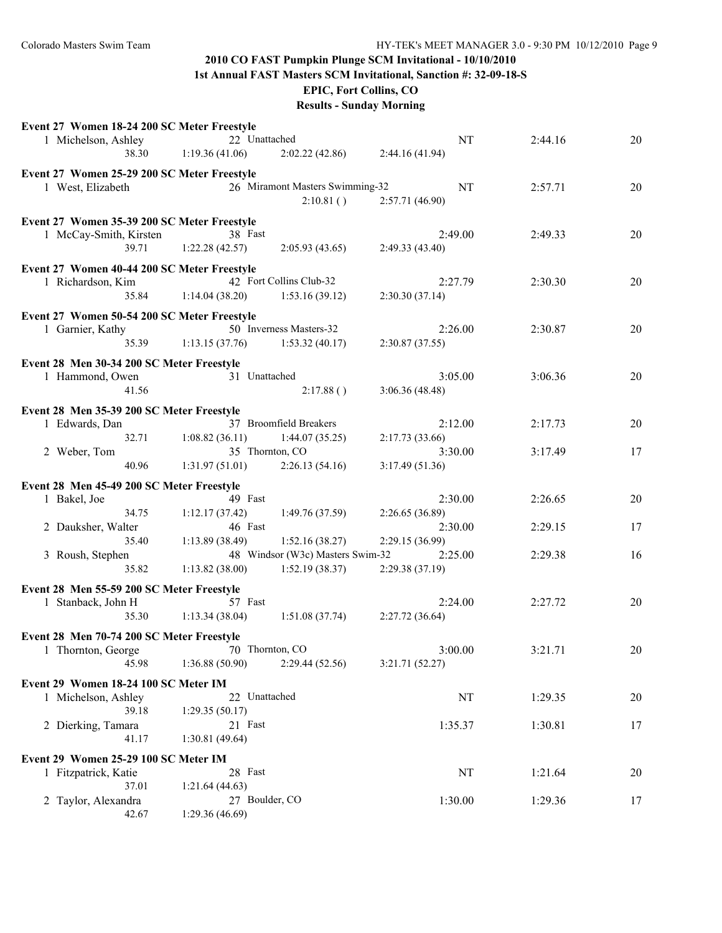**1st Annual FAST Masters SCM Invitational, Sanction #: 32-09-18-S**

**EPIC, Fort Collins, CO**

|                                             | Event 27 Women 18-24 200 SC Meter Freestyle |                                  |                            |         |    |
|---------------------------------------------|---------------------------------------------|----------------------------------|----------------------------|---------|----|
| 1 Michelson, Ashley                         | 22 Unattached                               |                                  | NT                         | 2:44.16 | 20 |
| 38.30                                       | 1:19.36(41.06)                              | 2:02.22(42.86)                   | 2:44.16(41.94)             |         |    |
| Event 27 Women 25-29 200 SC Meter Freestyle |                                             |                                  |                            |         |    |
| 1 West, Elizabeth                           |                                             | 26 Miramont Masters Swimming-32  | NT                         | 2:57.71 | 20 |
|                                             |                                             | 2:10.81()                        | 2:57.71 (46.90)            |         |    |
|                                             |                                             |                                  |                            |         |    |
| Event 27 Women 35-39 200 SC Meter Freestyle |                                             |                                  |                            |         |    |
| 1 McCay-Smith, Kirsten                      | 38 Fast                                     |                                  | 2:49.00                    | 2:49.33 | 20 |
| 39.71                                       | 1:22.28(42.57)                              | 2:05.93(43.65)                   | 2:49.33(43.40)             |         |    |
| Event 27 Women 40-44 200 SC Meter Freestyle |                                             |                                  |                            |         |    |
| 1 Richardson, Kim                           |                                             | 42 Fort Collins Club-32          | 2:27.79                    | 2:30.30 | 20 |
| 35.84                                       | 1:14.04(38.20)                              | 1:53.16(39.12)                   | 2:30.30(37.14)             |         |    |
|                                             |                                             |                                  |                            |         |    |
| Event 27 Women 50-54 200 SC Meter Freestyle |                                             |                                  |                            |         |    |
| 1 Garnier, Kathy                            |                                             | 50 Inverness Masters-32          | 2:26.00                    | 2:30.87 | 20 |
| 35.39                                       | 1:13.15(37.76)                              | 1:53.32(40.17)                   | 2:30.87(37.55)             |         |    |
| Event 28 Men 30-34 200 SC Meter Freestyle   |                                             |                                  |                            |         |    |
| 1 Hammond, Owen                             | 31 Unattached                               |                                  | 3:05.00                    | 3:06.36 | 20 |
| 41.56                                       |                                             | 2:17.88()                        | 3:06.36(48.48)             |         |    |
|                                             |                                             |                                  |                            |         |    |
| Event 28 Men 35-39 200 SC Meter Freestyle   |                                             | 37 Broomfield Breakers           |                            |         |    |
| 1 Edwards, Dan                              |                                             |                                  | 2:12.00                    | 2:17.73 | 20 |
| 32.71                                       | 1:08.82(36.11)                              | 1:44.07(35.25)                   | 2:17.73(33.66)             |         |    |
| 2 Weber, Tom                                | 35 Thornton, CO                             |                                  | 3:30.00                    | 3:17.49 | 17 |
| 40.96                                       | 1:31.97(51.01)                              | 2:26.13(54.16)                   | 3:17.49(51.36)             |         |    |
| Event 28 Men 45-49 200 SC Meter Freestyle   |                                             |                                  |                            |         |    |
| 1 Bakel, Joe                                | 49 Fast                                     |                                  | 2:30.00                    | 2:26.65 | 20 |
| 34.75                                       | 1:12.17(37.42)                              | 1:49.76(37.59)                   | 2:26.65 (36.89)            |         |    |
| 2 Dauksher, Walter                          | 46 Fast                                     |                                  |                            | 2:29.15 |    |
|                                             |                                             |                                  | 2:30.00                    |         |    |
| 35.40                                       |                                             |                                  |                            |         | 17 |
|                                             | 1:13.89(38.49)                              | 1:52.16(38.27)                   | 2:29.15 (36.99)<br>2:25.00 |         | 16 |
| 3 Roush, Stephen                            |                                             | 48 Windsor (W3c) Masters Swim-32 |                            | 2:29.38 |    |
| 35.82                                       | 1:13.82(38.00)                              | 1:52.19(38.37)                   | 2:29.38 (37.19)            |         |    |
| Event 28 Men 55-59 200 SC Meter Freestyle   |                                             |                                  |                            |         |    |
| 1 Stanback, John H                          | 57 Fast                                     |                                  | 2:24.00                    | 2:27.72 | 20 |
| 35.30                                       | 1:13.34(38.04)                              | 1:51.08(37.74)                   | 2:27.72(36.64)             |         |    |
| Event 28 Men 70-74 200 SC Meter Freestyle   |                                             |                                  |                            |         |    |
|                                             |                                             |                                  |                            |         |    |
| 1 Thornton, George 70 Thornton, CO<br>45.98 | 1:36.88(50.90)                              | 2:29.44(52.56)                   | 3:00.00<br>3:21.71(52.27)  | 3:21.71 | 20 |
|                                             |                                             |                                  |                            |         |    |
| Event 29 Women 18-24 100 SC Meter IM        |                                             |                                  |                            |         |    |
| 1 Michelson, Ashley                         | 22 Unattached                               |                                  | NT                         | 1:29.35 | 20 |
| 39.18                                       | 1:29.35(50.17)                              |                                  |                            |         |    |
| 2 Dierking, Tamara                          | 21 Fast                                     |                                  | 1:35.37                    | 1:30.81 | 17 |
| 41.17                                       | 1:30.81(49.64)                              |                                  |                            |         |    |
| Event 29 Women 25-29 100 SC Meter IM        |                                             |                                  |                            |         |    |
| 1 Fitzpatrick, Katie                        | 28 Fast                                     |                                  | NT                         | 1:21.64 | 20 |
| 37.01                                       | 1:21.64(44.63)                              |                                  |                            |         |    |
| 2 Taylor, Alexandra                         | 27 Boulder, CO                              |                                  | 1:30.00                    | 1:29.36 | 17 |